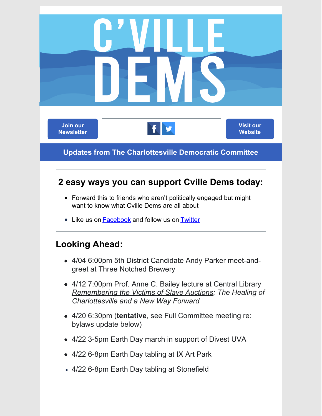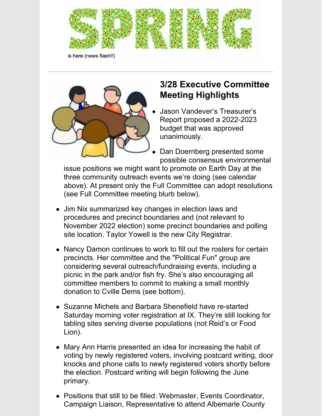

is here (news flash!!)



## **3/28 Executive Committee Meeting Highlights**

- Jason Vandever's Treasurer's Report proposed a 2022-2023 budget that was approved unanimously.
- Dan Doernberg presented some possible consensus environmental

issue positions we might want to promote on Earth Day at the three community outreach events we're doing (see calendar above). At present only the Full Committee can adopt resolutions (see Full Committee meeting blurb below).

- Jim Nix summarized key changes in election laws and procedures and precinct boundaries and (not relevant to November 2022 election) some precinct boundaries and polling site location. Taylor Yowell is the new City Registrar.
- Nancy Damon continues to work to fill out the rosters for certain precincts. Her committee and the "Political Fun" group are considering several outreach/fundraising events, including a picnic in the park and/or fish fry. She's also encouraging all committee members to commit to making a small monthly donation to Cville Dems (see bottom).
- Suzanne Michels and Barbara Shenefield have re-started Saturday morning voter registration at IX. They're still looking for tabling sites serving diverse populations (not Reid's or Food Lion).
- Mary Ann Harris presented an idea for increasing the habit of voting by newly registered voters, involving postcard writing, door knocks and phone calls to newly registered voters shortly before the election. Postcard writing will begin following the June primary.
- Positions that still to be filled: Webmaster, Events Coordinator, Campaign Liaison, Representative to attend Albemarle County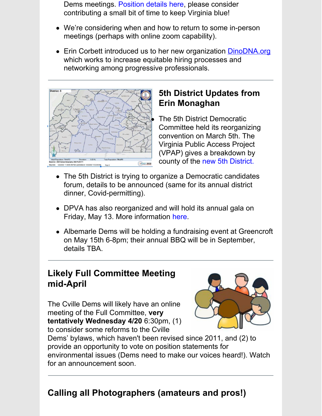Dems meetings. [Position](https://cvilledems.org/volunteer-opportunities/open-positions) details here, please consider contributing a small bit of time to keep Virginia blue!

- We're considering when and how to return to some in-person meetings (perhaps with online zoom capability).
- Erin Corbett introduced us to her new organization **[DinoDNA.org](http://dinodna.org)** which works to increase equitable hiring processes and networking among progressive professionals.



## **5th District Updates from Erin Monaghan**

The 5th District Democratic Committee held its reorganizing convention on March 5th. The Virginia Public Access Project (VPAP) gives a breakdown by county of th[e](https://www.vpap.org/offices/us-representative-5/district/) new 5th [District](https://www.vpap.org/offices/us-representative-5/district/).

- The 5th District is trying to organize a Democratic candidates forum, details to be announced (same for its annual district dinner, Covid-permitting).
- DPVA has also reorganized and [w](http://bluecommonwealthgala.com)ill hold its annual gala on Friday, May 13. More information [here](http://bluecommonwealthgala.com).
- Albemarle Dems will be holding a fundraising event at Greencroft on May 15th 6-8pm; their annual BBQ will be in September, details TBA.

#### **Likely Full Committee Meeting mid-April**

The Cville Dems will likely have an online meeting of the Full Committee, **very tentatively Wednesday 4/20** 6:30pm, (1) to consider some reforms to the Cville



Dems' bylaws, which haven't been revised since 2011, and (2) to provide an opportunity to vote on position statements for environmental issues (Dems need to make our voices heard!). Watch for an announcement soon.

# **Calling all Photographers (amateurs and pros!)**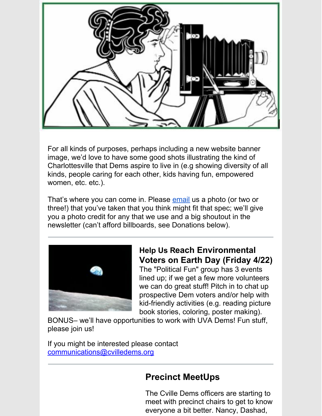

For all kinds of purposes, perhaps including a new website banner image, we'd love to have some good shots illustrating the kind of Charlottesville that Dems aspire to live in (e.g showing diversity of all kinds, people caring for each other, kids having fun, empowered women, etc. etc.).

That's where you can come in. Please [email](mailto:communications@cvilledems.org) us a photo (or two or three!) that you've taken that you think might fit that spec; we'll give you a photo credit for any that we use and a big shoutout in the newsletter (can't afford billboards, see Donations below).



#### **Help Us Reach Environmental Voters on Earth Day (Friday 4/22)**

The "Political Fun" group has 3 events lined up; if we get a few more volunteers we can do great stuff! Pitch in to chat up prospective Dem voters and/or help with kid-friendly activities (e.g. reading picture book stories, coloring, poster making).

BONUS– we'll have opportunities to work with UVA Dems! Fun stuff, please join us!

If you might be interested please contact [communications@cvilledems.org](mailto:communications@cvilledems.org)

## **Precinct MeetUps**

The Cville Dems officers are starting to meet with precinct chairs to get to know everyone a bit better. Nancy, Dashad,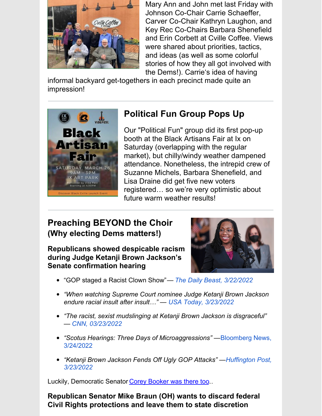

Mary Ann and John met last Friday with Johnson Co-Chair Carrie Schaeffer, Carver Co-Chair Kathryn Laughon, and Key Rec Co-Chairs Barbara Shenefield and Erin Corbett at Cville Coffee. Views were shared about priorities, tactics, and ideas (as well as some colorful stories of how they all got involved with the Dems!). Carrie's idea of having

informal backyard get-togethers in each precinct made quite an impression!



## **Political Fun Group Pops Up**

Our "Political Fun" group did its first pop-up booth at the Black Artisans Fair at Ix on Saturday (overlapping with the regular market), but chilly/windy weather dampened attendance. Nonetheless, the intrepid crew of Suzanne Michels, Barbara Shenefield, and Lisa Draine did get five new voters registered… so we're very optimistic about future warm weather results!

#### **Preaching BEYOND the Choir (Why electing Dems matters!)**

**Republicans showed despicable racism during Judge Ketanji Brown Jackson's Senate confirmation hearing**



- "GOP staged a Racist Clown Show"*[—](https://www.thedailybeast.com/gops-racist-clown-show-at-supreme-court-nominee-ketanji-brown-jacksons-confirmation-hearings) The Daily Beast, [3/22/2022](https://www.thedailybeast.com/gops-racist-clown-show-at-supreme-court-nominee-ketanji-brown-jacksons-confirmation-hearings)*
- *"When watching Supreme Court nominee Judge Ketanji Brown Jackson endure racial insult after insult…" — USA Today, [3/23/2022](https://www.usatoday.com/story/sports/columnist/mike-freeman/2022/03/23/supreme-court-ketanji-brown-jackson-and-jackie-robinson-faced-racism/7140156001/?gnt-cfr=1)*
- *"The racist, sexist mudslinging at Ketanji Brown Jackson is disgraceful" — CNN, [03/23/2022](https://www.cnn.com/2022/03/23/opinions/ketanji-brown-jackson-hearing-racism-joseph/index.html)*
- *"Scotus Hearings: Three Days of [Microaggressions"](https://www.bloomberg.com/news/newsletters/2022-03-24/ketanji-brown-jackson-scotus-hearings-three-days-of-microaggressions) —*Bloomberg News, 3/24/2022
- *"Ketanji Brown Jackson Fends Off Ugly GOP Attacks" [—Huffington](https://www.huffpost.com/entry/ketanji-brown-jackson-supreme-court-hearing-republican-attacks_n_623b888ce4b046c938e4af3c) Post, 3/23/2022*

Luckily, Democratic Senator Corey [Booker](https://www.booker.senate.gov/news/videos/watch/senator-cory-booker-talks-historic-nature-of-supreme-court-nominee-judge-ketanji-brown-jackson) was there too...

**Republican Senator Mike Braun (OH) wants to discard federal Civil Rights protections and leave them to state discretion**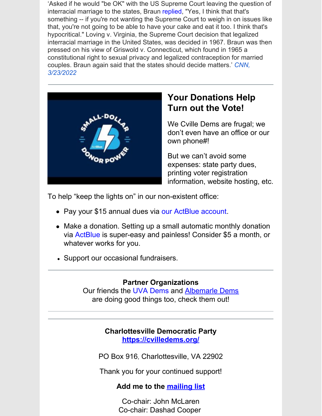'Asked if he would "be OK" with the US Supreme Court leaving the question of i[n](https://www.nwitimes.com/news/local/govt-and-politics/watch-now-sen-braun-open-to-u-s-supreme-court-rescinding-ruling-that-legalized-interracial/article_19cf8eaa-f75a-5642-865e-5ce88b374160.html#tracking-source=home-top-story)terracial marriage to the states, Braun [replied](https://www.nwitimes.com/news/local/govt-and-politics/watch-now-sen-braun-open-to-u-s-supreme-court-rescinding-ruling-that-legalized-interracial/article_19cf8eaa-f75a-5642-865e-5ce88b374160.html#tracking-source=home-top-story), "Yes, I think that that's something -- if you're not wanting the Supreme Court to weigh in on issues like that, you're not going to be able to have your cake and eat it too. I think that's hypocritical." Loving v. Virginia, the Supreme Court decision that legalized interracial marriage in the United States, was decided in 1967. Braun was then pressed on his view of Griswold v. Connecticut, which found in 1965 a constitutional right to sexual privacy and legalized contraception for married couples. Braun again said that the states should decide matters.['](https://www.cnn.com/2022/03/23/politics/mike-braun-interracial-marriage-comments/index.html) *CNN, [3/23/2022](https://www.cnn.com/2022/03/23/politics/mike-braun-interracial-marriage-comments/index.html)*



## **Your Donations Help Turn out the Vote!**

We Cville Dems are frugal; we don't even have an office or our own phone#!

But we can't avoid some expenses: state party dues, printing voter registration information, website hosting, etc.

To help "keep the lights on" in our non-existent office:

- P[a](https://secure.actblue.com/contribute/page/charlottesville-democratic-committee-1)y your \$15 annual dues via our [ActBlue](https://secure.actblue.com/contribute/page/charlottesville-democratic-committee-1) account.
- Make a donation. Setting up a small automatic monthly donation vi[a](https://secure.actblue.com/contribute/page/charlottesville-democratic-committee-1) [ActBlue](https://secure.actblue.com/contribute/page/charlottesville-democratic-committee-1) is super-easy and painless! Consider \$5 a month, or whatever works for you.
- Support our occasional fundraisers.

#### **Partner Organizations**

Our friends the UVA [Dems](https://www.instagram.com/demsatuva/) and [Albemarle](https://albemarledems.org/) Dems are doing good things too, check them out!

#### **Charlottesville Democratic Party [https://cvilledems.org/](http://cvilledems.org/)**

PO [Box](mailto:chair@cvilledems.org) 916, Charlottesville, VA 22902

Thank you for your continued support!

#### **Add me to the [mailing](https://lp.constantcontactpages.com/su/dEsR6w6?source_id=c86ce103-e7fd-4eba-bfaf-a022a85b3b81&source_type=em&c=) list**

Co-chair: John McLaren Co-chair: Dashad Cooper